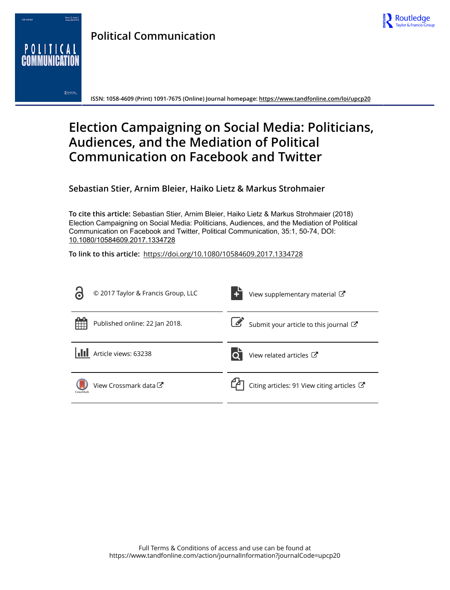



**Political Communication**

**ISSN: 1058-4609 (Print) 1091-7675 (Online) Journal homepage:<https://www.tandfonline.com/loi/upcp20>**

# **Election Campaigning on Social Media: Politicians, Audiences, and the Mediation of Political Communication on Facebook and Twitter**

**Sebastian Stier, Arnim Bleier, Haiko Lietz & Markus Strohmaier**

**To cite this article:** Sebastian Stier, Arnim Bleier, Haiko Lietz & Markus Strohmaier (2018) Election Campaigning on Social Media: Politicians, Audiences, and the Mediation of Political Communication on Facebook and Twitter, Political Communication, 35:1, 50-74, DOI: [10.1080/10584609.2017.1334728](https://www.tandfonline.com/action/showCitFormats?doi=10.1080/10584609.2017.1334728)

**To link to this article:** <https://doi.org/10.1080/10584609.2017.1334728>

|           | © 2017 Taylor & Francis Group, LLC | View supplementary material C                    |
|-----------|------------------------------------|--------------------------------------------------|
| 開開        | Published online: 22 Jan 2018.     | Submit your article to this journal $\mathbb{Z}$ |
|           | Article views: 63238               | View related articles C                          |
| CrossMark | View Crossmark data <sup>C</sup>   | Citing articles: 91 View citing articles C       |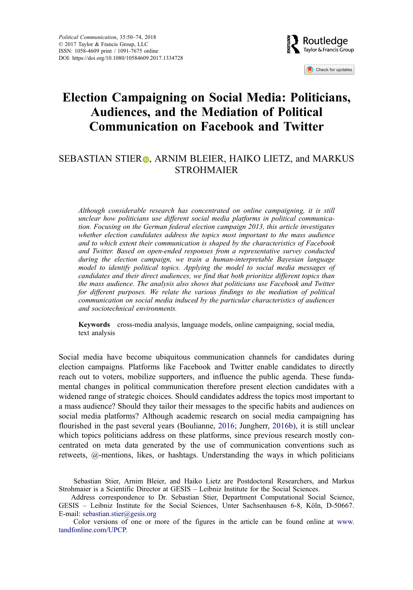

Check for updates

# Election Campaigning on Social Media: Politicians, Audiences, and the Mediation of Political Communication on Facebook and Twitter

# SEBASTIAN STIE[R](http://orcid.org/0000-0002-1217-5778)<sub>®</sub>, ARNIM BLEIER, HAIKO LIETZ, and MARKUS STROHMAIER

Although considerable research has concentrated on online campaigning, it is still unclear how politicians use different social media platforms in political communication. Focusing on the German federal election campaign 2013, this article investigates whether election candidates address the topics most important to the mass audience and to which extent their communication is shaped by the characteristics of Facebook and Twitter. Based on open-ended responses from a representative survey conducted during the election campaign, we train a human-interpretable Bayesian language model to identify political topics. Applying the model to social media messages of candidates and their direct audiences, we find that both prioritize different topics than the mass audience. The analysis also shows that politicians use Facebook and Twitter for different purposes. We relate the various findings to the mediation of political communication on social media induced by the particular characteristics of audiences and sociotechnical environments.

Keywords cross-media analysis, language models, online campaigning, social media, text analysis

Social media have become ubiquitous communication channels for candidates during election campaigns. Platforms like Facebook and Twitter enable candidates to directly reach out to voters, mobilize supporters, and influence the public agenda. These fundamental changes in political communication therefore present election candidates with a widened range of strategic choices. Should candidates address the topics most important to a mass audience? Should they tailor their messages to the specific habits and audiences on social media platforms? Although academic research on social media campaigning has flourished in the past several years (Boulianne, [2016](#page-20-0); Jungherr, [2016b\)](#page-20-0), it is still unclear which topics politicians address on these platforms, since previous research mostly concentrated on meta data generated by the use of communication conventions such as retweets, @-mentions, likes, or hashtags. Understanding the ways in which politicians

Sebastian Stier, Arnim Bleier, and Haiko Lietz are Postdoctoral Researchers, and Markus Strohmaier is a Scientific Director at GESIS – Leibniz Institute for the Social Sciences.

Address correspondence to Dr. Sebastian Stier, Department Computational Social Science, GESIS – Leibniz Institute for the Social Sciences, Unter Sachsenhausen 6-8, Köln, D-50667. E-mail: [sebastian.stier@gesis.org](mailto:sebastian.stier@gesis.org)

Color versions of one or more of the figures in the article can be found online at [www.](http://www.tandfonline.com/UPCP) [tandfonline.com/UPCP.](http://www.tandfonline.com/UPCP)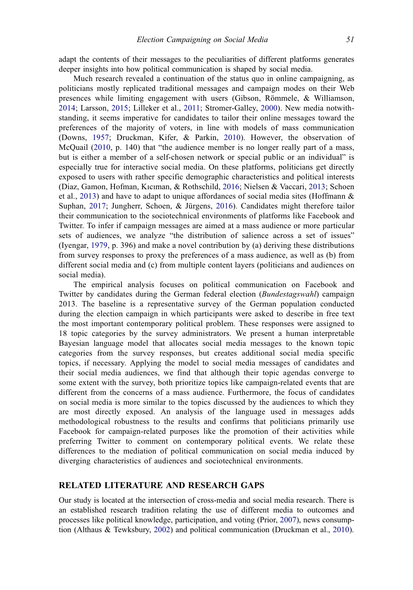adapt the contents of their messages to the peculiarities of different platforms generates deeper insights into how political communication is shaped by social media.

Much research revealed a continuation of the status quo in online campaigning, as politicians mostly replicated traditional messages and campaign modes on their Web presences while limiting engagement with users (Gibson, Römmele, & Williamson, [2014](#page-20-0); Larsson, [2015;](#page-21-0) Lilleker et al., [2011](#page-21-0); Stromer-Galley, [2000\)](#page-22-0). New media notwithstanding, it seems imperative for candidates to tailor their online messages toward the preferences of the majority of voters, in line with models of mass communication (Downs, [1957](#page-20-0); Druckman, Kifer, & Parkin, [2010\)](#page-20-0). However, the observation of McQuail ([2010,](#page-21-0) p. 140) that "the audience member is no longer really part of a mass, but is either a member of a self-chosen network or special public or an individual" is especially true for interactive social media. On these platforms, politicians get directly exposed to users with rather specific demographic characteristics and political interests (Diaz, Gamon, Hofman, Kıcıman, & Rothschild, [2016](#page-20-0); Nielsen & Vaccari, [2013](#page-21-0); Schoen et al., [2013\)](#page-22-0) and have to adapt to unique affordances of social media sites (Hoffmann & Suphan, [2017](#page-20-0); Jungherr, Schoen, & Jürgens, [2016](#page-20-0)). Candidates might therefore tailor their communication to the sociotechnical environments of platforms like Facebook and Twitter. To infer if campaign messages are aimed at a mass audience or more particular sets of audiences, we analyze "the distribution of salience across a set of issues" (Iyengar, [1979](#page-20-0), p. 396) and make a novel contribution by (a) deriving these distributions from survey responses to proxy the preferences of a mass audience, as well as (b) from different social media and (c) from multiple content layers (politicians and audiences on social media).

The empirical analysis focuses on political communication on Facebook and Twitter by candidates during the German federal election (*Bundestagswahl*) campaign 2013. The baseline is a representative survey of the German population conducted during the election campaign in which participants were asked to describe in free text the most important contemporary political problem. These responses were assigned to 18 topic categories by the survey administrators. We present a human interpretable Bayesian language model that allocates social media messages to the known topic categories from the survey responses, but creates additional social media specific topics, if necessary. Applying the model to social media messages of candidates and their social media audiences, we find that although their topic agendas converge to some extent with the survey, both prioritize topics like campaign-related events that are different from the concerns of a mass audience. Furthermore, the focus of candidates on social media is more similar to the topics discussed by the audiences to which they are most directly exposed. An analysis of the language used in messages adds methodological robustness to the results and confirms that politicians primarily use Facebook for campaign-related purposes like the promotion of their activities while preferring Twitter to comment on contemporary political events. We relate these differences to the mediation of political communication on social media induced by diverging characteristics of audiences and sociotechnical environments.

# RELATED LITERATURE AND RESEARCH GAPS

Our study is located at the intersection of cross-media and social media research. There is an established research tradition relating the use of different media to outcomes and processes like political knowledge, participation, and voting (Prior, [2007\)](#page-21-0), news consumption (Althaus & Tewksbury, [2002\)](#page-20-0) and political communication (Druckman et al., [2010](#page-20-0)).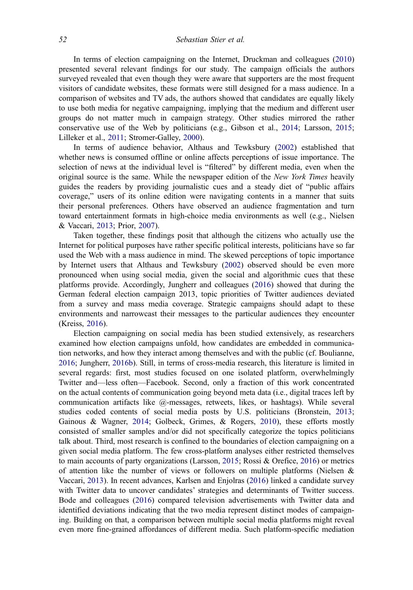In terms of election campaigning on the Internet, Druckman and colleagues [\(2010](#page-20-0)) presented several relevant findings for our study. The campaign officials the authors surveyed revealed that even though they were aware that supporters are the most frequent visitors of candidate websites, these formats were still designed for a mass audience. In a comparison of websites and TV ads, the authors showed that candidates are equally likely to use both media for negative campaigning, implying that the medium and different user groups do not matter much in campaign strategy. Other studies mirrored the rather conservative use of the Web by politicians (e.g., Gibson et al., [2014;](#page-20-0) Larsson, [2015;](#page-21-0) Lilleker et al., [2011](#page-21-0); Stromer-Galley, [2000\)](#page-22-0).

In terms of audience behavior, Althaus and Tewksbury ([2002\)](#page-20-0) established that whether news is consumed offline or online affects perceptions of issue importance. The selection of news at the individual level is "filtered" by different media, even when the original source is the same. While the newspaper edition of the New York Times heavily guides the readers by providing journalistic cues and a steady diet of "public affairs coverage," users of its online edition were navigating contents in a manner that suits their personal preferences. Others have observed an audience fragmentation and turn toward entertainment formats in high-choice media environments as well (e.g., Nielsen & Vaccari, [2013;](#page-21-0) Prior, [2007](#page-21-0)).

Taken together, these findings posit that although the citizens who actually use the Internet for political purposes have rather specific political interests, politicians have so far used the Web with a mass audience in mind. The skewed perceptions of topic importance by Internet users that Althaus and Tewksbury ([2002\)](#page-20-0) observed should be even more pronounced when using social media, given the social and algorithmic cues that these platforms provide. Accordingly, Jungherr and colleagues ([2016\)](#page-20-0) showed that during the German federal election campaign 2013, topic priorities of Twitter audiences deviated from a survey and mass media coverage. Strategic campaigns should adapt to these environments and narrowcast their messages to the particular audiences they encounter (Kreiss, [2016\)](#page-21-0).

Election campaigning on social media has been studied extensively, as researchers examined how election campaigns unfold, how candidates are embedded in communication networks, and how they interact among themselves and with the public (cf. Boulianne, [2016;](#page-20-0) Jungherr, [2016b](#page-20-0)). Still, in terms of cross-media research, this literature is limited in several regards: first, most studies focused on one isolated platform, overwhelmingly Twitter and—less often—Facebook. Second, only a fraction of this work concentrated on the actual contents of communication going beyond meta data (i.e., digital traces left by communication artifacts like @-messages, retweets, likes, or hashtags). While several studies coded contents of social media posts by U.S. politicians (Bronstein, [2013;](#page-20-0) Gainous & Wagner, [2014;](#page-20-0) Golbeck, Grimes, & Rogers, [2010\)](#page-20-0), these efforts mostly consisted of smaller samples and/or did not specifically categorize the topics politicians talk about. Third, most research is confined to the boundaries of election campaigning on a given social media platform. The few cross-platform analyses either restricted themselves to main accounts of party organizations (Larsson, [2015](#page-21-0); Rossi & Orefice, [2016\)](#page-21-0) or metrics of attention like the number of views or followers on multiple platforms (Nielsen & Vaccari, [2013\)](#page-21-0). In recent advances, Karlsen and Enjolras [\(2016](#page-20-0)) linked a candidate survey with Twitter data to uncover candidates' strategies and determinants of Twitter success. Bode and colleagues [\(2016](#page-20-0)) compared television advertisements with Twitter data and identified deviations indicating that the two media represent distinct modes of campaigning. Building on that, a comparison between multiple social media platforms might reveal even more fine-grained affordances of different media. Such platform-specific mediation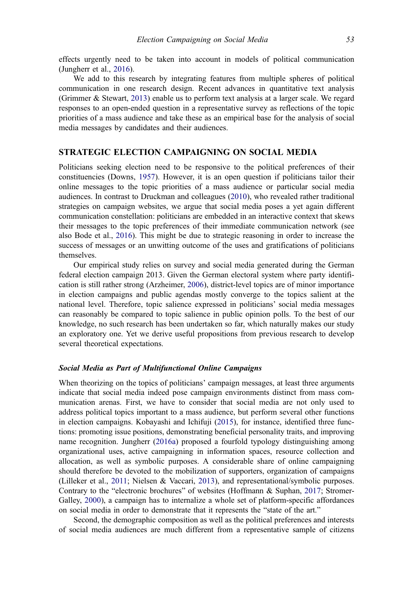effects urgently need to be taken into account in models of political communication (Jungherr et al., [2016\)](#page-20-0).

We add to this research by integrating features from multiple spheres of political communication in one research design. Recent advances in quantitative text analysis (Grimmer & Stewart, [2013\)](#page-20-0) enable us to perform text analysis at a larger scale. We regard responses to an open-ended question in a representative survey as reflections of the topic priorities of a mass audience and take these as an empirical base for the analysis of social media messages by candidates and their audiences.

# STRATEGIC ELECTION CAMPAIGNING ON SOCIAL MEDIA

Politicians seeking election need to be responsive to the political preferences of their constituencies (Downs, [1957](#page-20-0)). However, it is an open question if politicians tailor their online messages to the topic priorities of a mass audience or particular social media audiences. In contrast to Druckman and colleagues [\(2010](#page-20-0)), who revealed rather traditional strategies on campaign websites, we argue that social media poses a yet again different communication constellation: politicians are embedded in an interactive context that skews their messages to the topic preferences of their immediate communication network (see also Bode et al., [2016](#page-20-0)). This might be due to strategic reasoning in order to increase the success of messages or an unwitting outcome of the uses and gratifications of politicians themselves.

Our empirical study relies on survey and social media generated during the German federal election campaign 2013. Given the German electoral system where party identification is still rather strong (Arzheimer, [2006\)](#page-20-0), district-level topics are of minor importance in election campaigns and public agendas mostly converge to the topics salient at the national level. Therefore, topic salience expressed in politicians' social media messages can reasonably be compared to topic salience in public opinion polls. To the best of our knowledge, no such research has been undertaken so far, which naturally makes our study an exploratory one. Yet we derive useful propositions from previous research to develop several theoretical expectations.

#### Social Media as Part of Multifunctional Online Campaigns

When theorizing on the topics of politicians' campaign messages, at least three arguments indicate that social media indeed pose campaign environments distinct from mass communication arenas. First, we have to consider that social media are not only used to address political topics important to a mass audience, but perform several other functions in election campaigns. Kobayashi and Ichifuji [\(2015\)](#page-21-0), for instance, identified three functions: promoting issue positions, demonstrating beneficial personality traits, and improving name recognition. Jungherr [\(2016a](#page-20-0)) proposed a fourfold typology distinguishing among organizational uses, active campaigning in information spaces, resource collection and allocation, as well as symbolic purposes. A considerable share of online campaigning should therefore be devoted to the mobilization of supporters, organization of campaigns (Lilleker et al., [2011](#page-21-0); Nielsen & Vaccari, [2013](#page-21-0)), and representational/symbolic purposes. Contrary to the "electronic brochures" of websites (Hoffmann & Suphan, [2017;](#page-20-0) Stromer-Galley, [2000](#page-22-0)), a campaign has to internalize a whole set of platform-specific affordances on social media in order to demonstrate that it represents the "state of the art."

Second, the demographic composition as well as the political preferences and interests of social media audiences are much different from a representative sample of citizens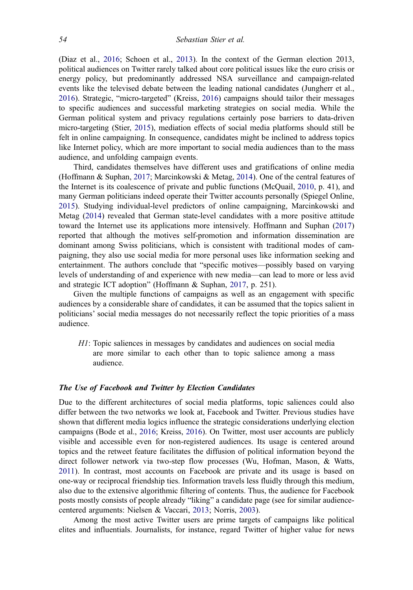(Diaz et al., [2016](#page-20-0); Schoen et al., [2013](#page-22-0)). In the context of the German election 2013, political audiences on Twitter rarely talked about core political issues like the euro crisis or energy policy, but predominantly addressed NSA surveillance and campaign-related events like the televised debate between the leading national candidates (Jungherr et al., [2016\)](#page-20-0). Strategic, "micro-targeted" (Kreiss, [2016\)](#page-21-0) campaigns should tailor their messages to specific audiences and successful marketing strategies on social media. While the German political system and privacy regulations certainly pose barriers to data-driven micro-targeting (Stier, [2015](#page-22-0)), mediation effects of social media platforms should still be felt in online campaigning. In consequence, candidates might be inclined to address topics like Internet policy, which are more important to social media audiences than to the mass audience, and unfolding campaign events.

Third, candidates themselves have different uses and gratifications of online media (Hoffmann & Suphan, [2017](#page-20-0); Marcinkowski & Metag, [2014\)](#page-21-0). One of the central features of the Internet is its coalescence of private and public functions (McQuail, [2010](#page-21-0), p. 41), and many German politicians indeed operate their Twitter accounts personally (Spiegel Online, [2015\)](#page-22-0). Studying individual-level predictors of online campaigning, Marcinkowski and Metag [\(2014](#page-21-0)) revealed that German state-level candidates with a more positive attitude toward the Internet use its applications more intensively. Hoffmann and Suphan [\(2017](#page-20-0)) reported that although the motives self-promotion and information dissemination are dominant among Swiss politicians, which is consistent with traditional modes of campaigning, they also use social media for more personal uses like information seeking and entertainment. The authors conclude that "specific motives—possibly based on varying levels of understanding of and experience with new media—can lead to more or less avid and strategic ICT adoption" (Hoffmann & Suphan, [2017,](#page-20-0) p. 251).

Given the multiple functions of campaigns as well as an engagement with specific audiences by a considerable share of candidates, it can be assumed that the topics salient in politicians' social media messages do not necessarily reflect the topic priorities of a mass audience.

H1: Topic saliences in messages by candidates and audiences on social media are more similar to each other than to topic salience among a mass audience.

#### The Use of Facebook and Twitter by Election Candidates

Due to the different architectures of social media platforms, topic saliences could also differ between the two networks we look at, Facebook and Twitter. Previous studies have shown that different media logics influence the strategic considerations underlying election campaigns (Bode et al., [2016](#page-20-0); Kreiss, [2016\)](#page-21-0). On Twitter, most user accounts are publicly visible and accessible even for non-registered audiences. Its usage is centered around topics and the retweet feature facilitates the diffusion of political information beyond the direct follower network via two-step flow processes (Wu, Hofman, Mason, & Watts, [2011](#page-22-0)). In contrast, most accounts on Facebook are private and its usage is based on one-way or reciprocal friendship ties. Information travels less fluidly through this medium, also due to the extensive algorithmic filtering of contents. Thus, the audience for Facebook posts mostly consists of people already "liking" a candidate page (see for similar audiencecentered arguments: Nielsen & Vaccari, [2013](#page-21-0); Norris, [2003](#page-21-0)).

Among the most active Twitter users are prime targets of campaigns like political elites and influentials. Journalists, for instance, regard Twitter of higher value for news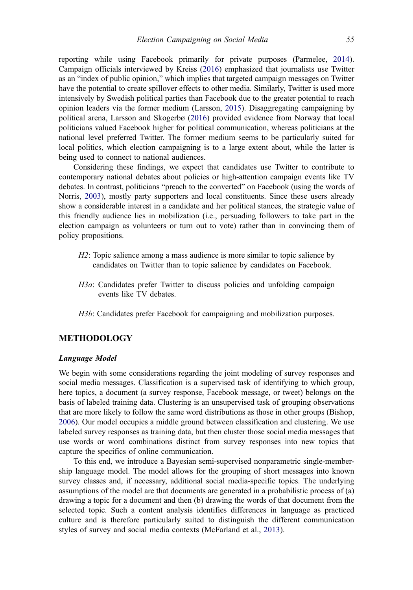reporting while using Facebook primarily for private purposes (Parmelee, [2014\)](#page-21-0). Campaign officials interviewed by Kreiss [\(2016](#page-21-0)) emphasized that journalists use Twitter as an "index of public opinion," which implies that targeted campaign messages on Twitter have the potential to create spillover effects to other media. Similarly, Twitter is used more intensively by Swedish political parties than Facebook due to the greater potential to reach opinion leaders via the former medium (Larsson, [2015\)](#page-21-0). Disaggregating campaigning by political arena, Larsson and Skogerbø [\(2016](#page-21-0)) provided evidence from Norway that local politicians valued Facebook higher for political communication, whereas politicians at the national level preferred Twitter. The former medium seems to be particularly suited for local politics, which election campaigning is to a large extent about, while the latter is being used to connect to national audiences.

Considering these findings, we expect that candidates use Twitter to contribute to contemporary national debates about policies or high-attention campaign events like TV debates. In contrast, politicians "preach to the converted" on Facebook (using the words of Norris, [2003](#page-21-0)), mostly party supporters and local constituents. Since these users already show a considerable interest in a candidate and her political stances, the strategic value of this friendly audience lies in mobilization (i.e., persuading followers to take part in the election campaign as volunteers or turn out to vote) rather than in convincing them of policy propositions.

- H2: Topic salience among a mass audience is more similar to topic salience by candidates on Twitter than to topic salience by candidates on Facebook.
- H3a: Candidates prefer Twitter to discuss policies and unfolding campaign events like TV debates.
- H3b: Candidates prefer Facebook for campaigning and mobilization purposes.

# METHODOLOGY

#### Language Model

We begin with some considerations regarding the joint modeling of survey responses and social media messages. Classification is a supervised task of identifying to which group, here topics, a document (a survey response, Facebook message, or tweet) belongs on the basis of labeled training data. Clustering is an unsupervised task of grouping observations that are more likely to follow the same word distributions as those in other groups (Bishop, [2006\)](#page-20-0). Our model occupies a middle ground between classification and clustering. We use labeled survey responses as training data, but then cluster those social media messages that use words or word combinations distinct from survey responses into new topics that capture the specifics of online communication.

To this end, we introduce a Bayesian semi-supervised nonparametric single-membership language model. The model allows for the grouping of short messages into known survey classes and, if necessary, additional social media-specific topics. The underlying assumptions of the model are that documents are generated in a probabilistic process of (a) drawing a topic for a document and then (b) drawing the words of that document from the selected topic. Such a content analysis identifies differences in language as practiced culture and is therefore particularly suited to distinguish the different communication styles of survey and social media contexts (McFarland et al., [2013\)](#page-21-0).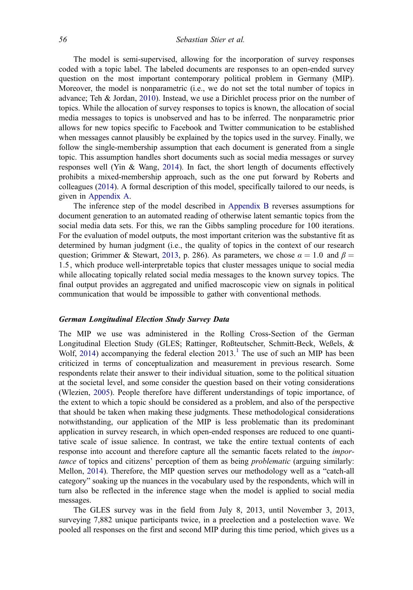The model is semi-supervised, allowing for the incorporation of survey responses coded with a topic label. The labeled documents are responses to an open-ended survey question on the most important contemporary political problem in Germany (MIP). Moreover, the model is nonparametric (i.e., we do not set the total number of topics in advance; Teh & Jordan, [2010\)](#page-22-0). Instead, we use a Dirichlet process prior on the number of topics. While the allocation of survey responses to topics is known, the allocation of social media messages to topics is unobserved and has to be inferred. The nonparametric prior allows for new topics specific to Facebook and Twitter communication to be established when messages cannot plausibly be explained by the topics used in the survey. Finally, we follow the single-membership assumption that each document is generated from a single topic. This assumption handles short documents such as social media messages or survey responses well (Yin & Wang, [2014\)](#page-22-0). In fact, the short length of documents effectively prohibits a mixed-membership approach, such as the one put forward by Roberts and colleagues [\(2014](#page-21-0)). A formal description of this model, specifically tailored to our needs, is given in [Appendix A.](#page-22-0)

The inference step of the model described in [Appendix B](#page-23-0) reverses assumptions for document generation to an automated reading of otherwise latent semantic topics from the social media data sets. For this, we ran the Gibbs sampling procedure for 100 iterations. For the evaluation of model outputs, the most important criterion was the substantive fit as determined by human judgment (i.e., the quality of topics in the context of our research question; Grimmer & Stewart, [2013,](#page-20-0) p. 286). As parameters, we chose  $\alpha = 1.0$  and  $\beta =$ 1:5, which produce well-interpretable topics that cluster messages unique to social media while allocating topically related social media messages to the known survey topics. The final output provides an aggregated and unified macroscopic view on signals in political communication that would be impossible to gather with conventional methods.

#### German Longitudinal Election Study Survey Data

The MIP we use was administered in the Rolling Cross-Section of the German Longitudinal Election Study (GLES; Rattinger, Roßteutscher, Schmitt-Beck, Weßels, & Wolf, [2014](#page-21-0)) accompanying the federal election  $2013<sup>1</sup>$  $2013<sup>1</sup>$  $2013<sup>1</sup>$ . The use of such an MIP has been criticized in terms of conceptualization and measurement in previous research. Some respondents relate their answer to their individual situation, some to the political situation at the societal level, and some consider the question based on their voting considerations (Wlezien, [2005](#page-22-0)). People therefore have different understandings of topic importance, of the extent to which a topic should be considered as a problem, and also of the perspective that should be taken when making these judgments. These methodological considerations notwithstanding, our application of the MIP is less problematic than its predominant application in survey research, in which open-ended responses are reduced to one quantitative scale of issue salience. In contrast, we take the entire textual contents of each response into account and therefore capture all the semantic facets related to the importance of topics and citizens' perception of them as being *problematic* (arguing similarly: Mellon, [2014](#page-21-0)). Therefore, the MIP question serves our methodology well as a "catch-all category" soaking up the nuances in the vocabulary used by the respondents, which will in turn also be reflected in the inference stage when the model is applied to social media messages.

The GLES survey was in the field from July 8, 2013, until November 3, 2013, surveying 7,882 unique participants twice, in a preelection and a postelection wave. We pooled all responses on the first and second MIP during this time period, which gives us a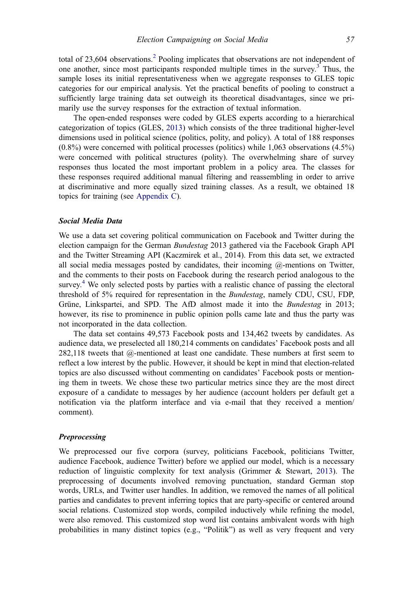total of  $23,604$  $23,604$  observations.<sup>2</sup> Pooling implicates that observations are not independent of one another, since most participants responded multiple times in the survey. $3$  Thus, the sample loses its initial representativeness when we aggregate responses to GLES topic categories for our empirical analysis. Yet the practical benefits of pooling to construct a sufficiently large training data set outweigh its theoretical disadvantages, since we primarily use the survey responses for the extraction of textual information.

The open-ended responses were coded by GLES experts according to a hierarchical categorization of topics (GLES, [2013\)](#page-20-0) which consists of the three traditional higher-level dimensions used in political science (politics, polity, and policy). A total of 188 responses (0.8%) were concerned with political processes (politics) while 1,063 observations (4.5%) were concerned with political structures (polity). The overwhelming share of survey responses thus located the most important problem in a policy area. The classes for these responses required additional manual filtering and reassembling in order to arrive at discriminative and more equally sized training classes. As a result, we obtained 18 topics for training (see [Appendix C\)](#page-24-0).

#### Social Media Data

We use a data set covering political communication on Facebook and Twitter during the election campaign for the German Bundestag 2013 gathered via the Facebook Graph API and the Twitter Streaming API (Kaczmirek et al., 2014). From this data set, we extracted all social media messages posted by candidates, their incoming  $\omega$ -mentions on Twitter, and the comments to their posts on Facebook during the research period analogous to the survey.<sup>[4](#page-19-0)</sup> We only selected posts by parties with a realistic chance of passing the electoral threshold of 5% required for representation in the Bundestag, namely CDU, CSU, FDP, Grüne, Linkspartei, and SPD. The AfD almost made it into the Bundestag in 2013; however, its rise to prominence in public opinion polls came late and thus the party was not incorporated in the data collection.

The data set contains 49,573 Facebook posts and 134,462 tweets by candidates. As audience data, we preselected all 180,214 comments on candidates' Facebook posts and all 282,118 tweets that @-mentioned at least one candidate. These numbers at first seem to reflect a low interest by the public. However, it should be kept in mind that election-related topics are also discussed without commenting on candidates' Facebook posts or mentioning them in tweets. We chose these two particular metrics since they are the most direct exposure of a candidate to messages by her audience (account holders per default get a notification via the platform interface and via e-mail that they received a mention/ comment).

#### **Preprocessing**

We preprocessed our five corpora (survey, politicians Facebook, politicians Twitter, audience Facebook, audience Twitter) before we applied our model, which is a necessary reduction of linguistic complexity for text analysis (Grimmer & Stewart, [2013](#page-20-0)). The preprocessing of documents involved removing punctuation, standard German stop words, URLs, and Twitter user handles. In addition, we removed the names of all political parties and candidates to prevent inferring topics that are party-specific or centered around social relations. Customized stop words, compiled inductively while refining the model, were also removed. This customized stop word list contains ambivalent words with high probabilities in many distinct topics (e.g., "Politik") as well as very frequent and very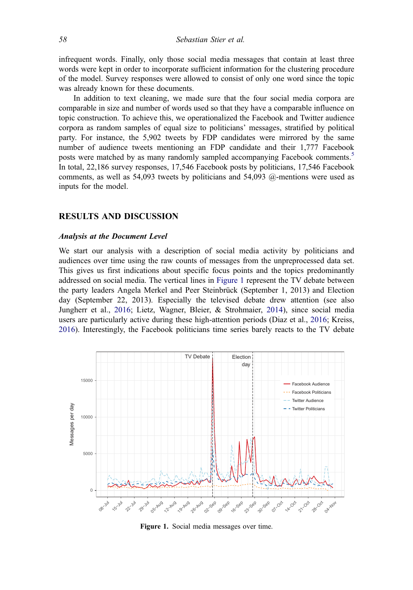infrequent words. Finally, only those social media messages that contain at least three words were kept in order to incorporate sufficient information for the clustering procedure of the model. Survey responses were allowed to consist of only one word since the topic was already known for these documents.

In addition to text cleaning, we made sure that the four social media corpora are comparable in size and number of words used so that they have a comparable influence on topic construction. To achieve this, we operationalized the Facebook and Twitter audience corpora as random samples of equal size to politicians' messages, stratified by political party. For instance, the 5,902 tweets by FDP candidates were mirrored by the same number of audience tweets mentioning an FDP candidate and their 1,777 Facebook posts were matched by as many randomly sampled accompanying Facebook comments.<sup>[5](#page-19-0)</sup> In total, 22,186 survey responses, 17,546 Facebook posts by politicians, 17,546 Facebook comments, as well as 54,093 tweets by politicians and 54,093 @-mentions were used as inputs for the model.

#### RESULTS AND DISCUSSION

#### Analysis at the Document Level

We start our analysis with a description of social media activity by politicians and audiences over time using the raw counts of messages from the unpreprocessed data set. This gives us first indications about specific focus points and the topics predominantly addressed on social media. The vertical lines in Figure 1 represent the TV debate between the party leaders Angela Merkel and Peer Steinbrück (September 1, 2013) and Election day (September 22, 2013). Especially the televised debate drew attention (see also Jungherr et al., [2016](#page-20-0); Lietz, Wagner, Bleier, & Strohmaier, [2014](#page-21-0)), since social media users are particularly active during these high-attention periods (Diaz et al., [2016;](#page-20-0) Kreiss, [2016\)](#page-21-0). Interestingly, the Facebook politicians time series barely reacts to the TV debate



Figure 1. Social media messages over time.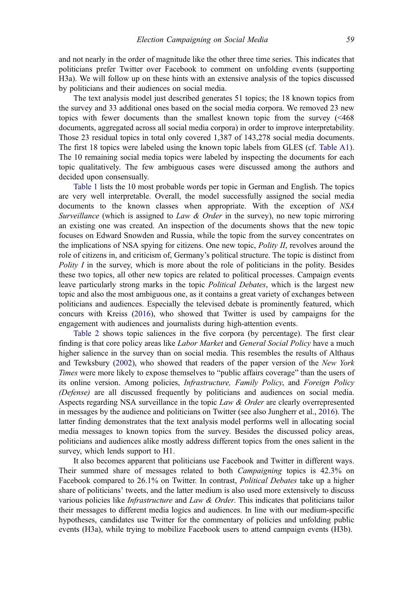and not nearly in the order of magnitude like the other three time series. This indicates that politicians prefer Twitter over Facebook to comment on unfolding events (supporting H3a). We will follow up on these hints with an extensive analysis of the topics discussed by politicians and their audiences on social media.

The text analysis model just described generates 51 topics; the 18 known topics from the survey and 33 additional ones based on the social media corpora. We removed 23 new topics with fewer documents than the smallest known topic from the survey (<468 documents, aggregated across all social media corpora) in order to improve interpretability. Those 23 residual topics in total only covered 1,387 of 143,278 social media documents. The first 18 topics were labeled using the known topic labels from GLES (cf. [Table A1\)](#page-25-0). The 10 remaining social media topics were labeled by inspecting the documents for each topic qualitatively. The few ambiguous cases were discussed among the authors and decided upon consensually.

[Table 1](#page-11-0) lists the 10 most probable words per topic in German and English. The topics are very well interpretable. Overall, the model successfully assigned the social media documents to the known classes when appropriate. With the exception of NSA Surveillance (which is assigned to Law & Order in the survey), no new topic mirroring an existing one was created. An inspection of the documents shows that the new topic focuses on Edward Snowden and Russia, while the topic from the survey concentrates on the implications of NSA spying for citizens. One new topic, Polity II, revolves around the role of citizens in, and criticism of, Germany's political structure. The topic is distinct from Polity I in the survey, which is more about the role of politicians in the polity. Besides these two topics, all other new topics are related to political processes. Campaign events leave particularly strong marks in the topic *Political Debates*, which is the largest new topic and also the most ambiguous one, as it contains a great variety of exchanges between politicians and audiences. Especially the televised debate is prominently featured, which concurs with Kreiss ([2016\)](#page-21-0), who showed that Twitter is used by campaigns for the engagement with audiences and journalists during high-attention events.

[Table 2](#page-13-0) shows topic saliences in the five corpora (by percentage). The first clear finding is that core policy areas like *Labor Market* and *General Social Policy* have a much higher salience in the survey than on social media. This resembles the results of Althaus and Tewksbury [\(2002](#page-20-0)), who showed that readers of the paper version of the New York Times were more likely to expose themselves to "public affairs coverage" than the users of its online version. Among policies, Infrastructure, Family Policy, and Foreign Policy (Defense) are all discussed frequently by politicians and audiences on social media. Aspects regarding NSA surveillance in the topic Law & Order are clearly overrepresented in messages by the audience and politicians on Twitter (see also Jungherr et al., [2016\)](#page-20-0). The latter finding demonstrates that the text analysis model performs well in allocating social media messages to known topics from the survey. Besides the discussed policy areas, politicians and audiences alike mostly address different topics from the ones salient in the survey, which lends support to H1.

It also becomes apparent that politicians use Facebook and Twitter in different ways. Their summed share of messages related to both Campaigning topics is 42.3% on Facebook compared to 26.1% on Twitter. In contrast, Political Debates take up a higher share of politicians' tweets, and the latter medium is also used more extensively to discuss various policies like *Infrastructure* and *Law & Order*. This indicates that politicians tailor their messages to different media logics and audiences. In line with our medium-specific hypotheses, candidates use Twitter for the commentary of policies and unfolding public events (H3a), while trying to mobilize Facebook users to attend campaign events (H3b).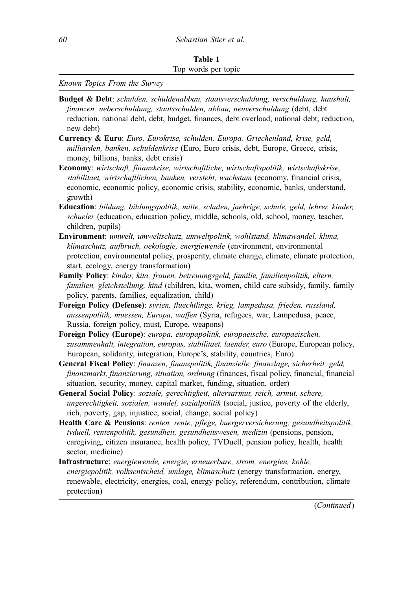<span id="page-11-0"></span>Known Topics From the Survey

- Budget & Debt: schulden, schuldenabbau, staatsverschuldung, verschuldung, haushalt, finanzen, ueberschuldung, staatsschulden, abbau, neuverschuldung (debt, debt reduction, national debt, debt, budget, finances, debt overload, national debt, reduction, new debt)
- Currency & Euro: Euro, Eurokrise, schulden, Europa, Griechenland, krise, geld, milliarden, banken, schuldenkrise (Euro, Euro crisis, debt, Europe, Greece, crisis, money, billions, banks, debt crisis)
- Economy: wirtschaft, finanzkrise, wirtschaftliche, wirtschaftspolitik, wirtschaftskrise, stabilitaet, wirtschaftlichen, banken, versteht, wachstum (economy, financial crisis, economic, economic policy, economic crisis, stability, economic, banks, understand, growth)
- Education: bildung, bildungspolitik, mitte, schulen, jaehrige, schule, geld, lehrer, kinder, schueler (education, education policy, middle, schools, old, school, money, teacher, children, pupils)
- Environment: umwelt, umweltschutz, umweltpolitik, wohlstand, klimawandel, klima, klimaschutz, aufbruch, oekologie, energiewende (environment, environmental protection, environmental policy, prosperity, climate change, climate, climate protection, start, ecology, energy transformation)
- Family Policy: kinder, kita, frauen, betreuungsgeld, familie, familienpolitik, eltern, familien, gleichstellung, kind (children, kita, women, child care subsidy, family, family policy, parents, families, equalization, child)
- Foreign Policy (Defense): syrien, fluechtlinge, krieg, lampedusa, frieden, russland, aussenpolitik, muessen, Europa, waffen (Syria, refugees, war, Lampedusa, peace, Russia, foreign policy, must, Europe, weapons)
- Foreign Policy (Europe): europa, europapolitik, europaeische, europaeischen, zusammenhalt, integration, europas, stabilitaet, laender, euro (Europe, European policy, European, solidarity, integration, Europe's, stability, countries, Euro)
- General Fiscal Policy: finanzen, finanzpolitik, finanzielle, finanzlage, sicherheit, geld, finanzmarkt, finanzierung, situation, ordnung (finances, fiscal policy, financial, financial situation, security, money, capital market, funding, situation, order)
- General Social Policy: soziale, gerechtigkeit, altersarmut, reich, armut, schere, ungerechtigkeit, sozialen, wandel, sozialpolitik (social, justice, poverty of the elderly, rich, poverty, gap, injustice, social, change, social policy)
- Health Care & Pensions: renten, rente, pflege, buergerversicherung, gesundheitspolitik, tvduell, rentenpolitik, gesundheit, gesundheitswesen, medizin (pensions, pension, caregiving, citizen insurance, health policy, TVDuell, pension policy, health, health sector, medicine)
- Infrastructure: energiewende, energie, erneuerbare, strom, energien, kohle, energiepolitik, volksentscheid, umlage, klimaschutz (energy transformation, energy, renewable, electricity, energies, coal, energy policy, referendum, contribution, climate protection)

(Continued)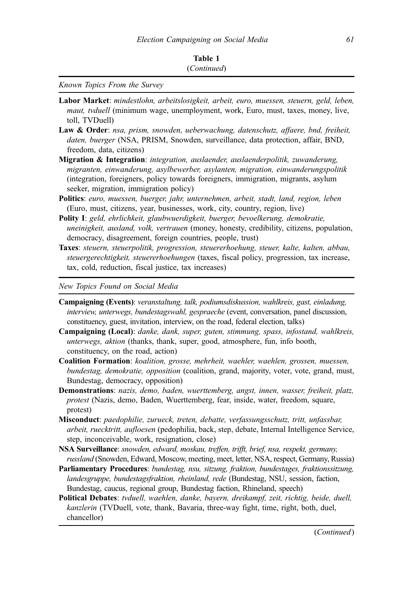Known Topics From the Survey

- Labor Market: mindestlohn, arbeitslosigkeit, arbeit, euro, muessen, steuern, geld, leben, maut, tvduell (minimum wage, unemployment, work, Euro, must, taxes, money, live, toll, TVDuell)
- Law & Order: nsa, prism, snowden, ueberwachung, datenschutz, affaere, bnd, freiheit, daten, buerger (NSA, PRISM, Snowden, surveillance, data protection, affair, BND, freedom, data, citizens)
- Migration & Integration: integration, auslaender, auslaenderpolitik, zuwanderung, migranten, einwanderung, asylbewerber, asylanten, migration, einwanderungspolitik (integration, foreigners, policy towards foreigners, immigration, migrants, asylum seeker, migration, immigration policy)
- Politics: euro, muessen, buerger, jahr, unternehmen, arbeit, stadt, land, region, leben (Euro, must, citizens, year, businesses, work, city, country, region, live)
- Polity I: geld, ehrlichkeit, glaubwuerdigkeit, buerger, bevoelkerung, demokratie, uneinigkeit, ausland, volk, vertrauen (money, honesty, credibility, citizens, population, democracy, disagreement, foreign countries, people, trust)
- Taxes: steuern, steuerpolitik, progression, steuererhoehung, steuer, kalte, kalten, abbau, steuergerechtigkeit, steuererhoehungen (taxes, fiscal policy, progression, tax increase, tax, cold, reduction, fiscal justice, tax increases)

New Topics Found on Social Media

- Campaigning (Events): veranstaltung, talk, podiumsdiskussion, wahlkreis, gast, einladung, interview, unterwegs, bundestagswahl, gespraeche (event, conversation, panel discussion, constituency, guest, invitation, interview, on the road, federal election, talks)
- Campaigning (Local): danke, dank, super, guten, stimmung, spass, infostand, wahlkreis, unterwegs, aktion (thanks, thank, super, good, atmosphere, fun, info booth, constituency, on the road, action)
- Coalition Formation: koalition, grosse, mehrheit, waehler, waehlen, grossen, muessen, bundestag, demokratie, opposition (coalition, grand, majority, voter, vote, grand, must, Bundestag, democracy, opposition)
- Demonstrations: nazis, demo, baden, wuerttemberg, angst, innen, wasser, freiheit, platz, protest (Nazis, demo, Baden, Wuerttemberg, fear, inside, water, freedom, square, protest)
- Misconduct: paedophilie, zurueck, treten, debatte, verfassungsschutz, tritt, unfassbar, arbeit, ruecktritt, aufloesen (pedophilia, back, step, debate, Internal Intelligence Service, step, inconceivable, work, resignation, close)
- NSA Surveillance: snowden, edward, moskau, treffen, trifft, brief, nsa, respekt, germany, russland (Snowden, Edward, Moscow, meeting, meet, letter, NSA, respect, Germany, Russia)
- Parliamentary Procedures: bundestag, nsu, sitzung, fraktion, bundestages, fraktionssitzung, landesgruppe, bundestagsfraktion, rheinland, rede (Bundestag, NSU, session, faction, Bundestag, caucus, regional group, Bundestag faction, Rhineland, speech)
- Political Debates: tvduell, waehlen, danke, bayern, dreikampf, zeit, richtig, beide, duell, kanzlerin (TVDuell, vote, thank, Bavaria, three-way fight, time, right, both, duel, chancellor)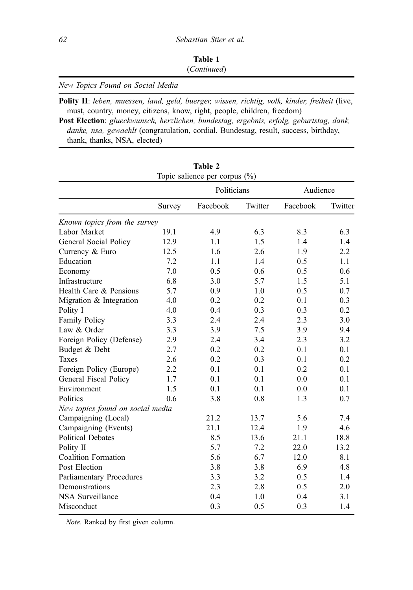| Table 1     |  |
|-------------|--|
| (Continued) |  |

<span id="page-13-0"></span>New Topics Found on Social Media

Polity II: leben, muessen, land, geld, buerger, wissen, richtig, volk, kinder, freiheit (live, must, country, money, citizens, know, right, people, children, freedom)

Post Election: glueckwunsch, herzlichen, bundestag, ergebnis, erfolg, geburtstag, dank, danke, nsa, gewaehlt (congratulation, cordial, Bundestag, result, success, birthday, thank, thanks, NSA, elected)

 $T<sub>1</sub>$   $T<sub>2</sub>$   $\Delta$ 

| Table 2<br>Topic salience per corpus (%) |        |             |         |          |         |
|------------------------------------------|--------|-------------|---------|----------|---------|
|                                          |        | Politicians |         | Audience |         |
|                                          | Survey | Facebook    | Twitter | Facebook | Twitter |
| Known topics from the survey             |        |             |         |          |         |
| Labor Market                             | 19.1   | 4.9         | 6.3     | 8.3      | 6.3     |
| General Social Policy                    | 12.9   | 1.1         | 1.5     | 1.4      | 1.4     |
| Currency & Euro                          | 12.5   | 1.6         | 2.6     | 1.9      | 2.2     |
| Education                                | 7.2    | 1.1         | 1.4     | 0.5      | 1.1     |
| Economy                                  | 7.0    | 0.5         | 0.6     | 0.5      | 0.6     |
| Infrastructure                           | 6.8    | 3.0         | 5.7     | 1.5      | 5.1     |
| Health Care & Pensions                   | 5.7    | 0.9         | 1.0     | 0.5      | 0.7     |
| Migration & Integration                  | 4.0    | 0.2         | 0.2     | 0.1      | 0.3     |
| Polity I                                 | 4.0    | 0.4         | 0.3     | 0.3      | 0.2     |
| Family Policy                            | 3.3    | 2.4         | 2.4     | 2.3      | 3.0     |
| Law & Order                              | 3.3    | 3.9         | 7.5     | 3.9      | 9.4     |
| Foreign Policy (Defense)                 | 2.9    | 2.4         | 3.4     | 2.3      | 3.2     |
| Budget & Debt                            | 2.7    | 0.2         | 0.2     | 0.1      | 0.1     |
| <b>Taxes</b>                             | 2.6    | 0.2         | 0.3     | 0.1      | 0.2     |
| Foreign Policy (Europe)                  | 2.2    | 0.1         | 0.1     | 0.2      | 0.1     |
| General Fiscal Policy                    | 1.7    | 0.1         | 0.1     | 0.0      | 0.1     |
| Environment                              | 1.5    | 0.1         | 0.1     | 0.0      | 0.1     |
| Politics                                 | 0.6    | 3.8         | 0.8     | 1.3      | 0.7     |
| New topics found on social media         |        |             |         |          |         |
| Campaigning (Local)                      |        | 21.2        | 13.7    | 5.6      | 7.4     |
| Campaigning (Events)                     |        | 21.1        | 12.4    | 1.9      | 4.6     |
| <b>Political Debates</b>                 |        | 8.5         | 13.6    | 21.1     | 18.8    |
| Polity II                                |        | 5.7         | 7.2     | 22.0     | 13.2    |
| <b>Coalition Formation</b>               |        | 5.6         | 6.7     | 12.0     | 8.1     |
| Post Election                            |        | 3.8         | 3.8     | 6.9      | 4.8     |
| <b>Parliamentary Procedures</b>          |        | 3.3         | 3.2     | 0.5      | 1.4     |
| Demonstrations                           |        | 2.3         | 2.8     | 0.5      | 2.0     |
| <b>NSA Surveillance</b>                  | 0.4    | 1.0         | 0.4     | 3.1      |         |
| Misconduct                               |        | 0.3         | 0.5     | 0.3      | 1.4     |

Note. Ranked by first given column.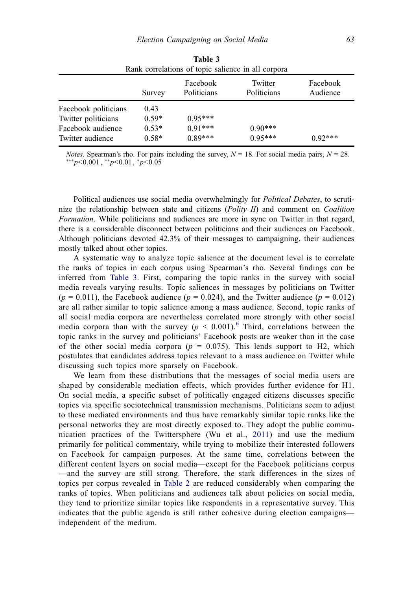<span id="page-14-0"></span>

| Rank correlations of topic salience in all corpora                                   |                                       |                                     |                        |                      |
|--------------------------------------------------------------------------------------|---------------------------------------|-------------------------------------|------------------------|----------------------|
|                                                                                      | Survey                                | Facebook<br>Politicians             | Twitter<br>Politicians | Facebook<br>Audience |
| Facebook politicians<br>Twitter politicians<br>Facebook audience<br>Twitter audience | 0.43<br>$0.59*$<br>$0.53*$<br>$0.58*$ | $0.95***$<br>$0.91***$<br>$0.89***$ | $0.90***$<br>$0.95***$ | $0.92***$            |

| Table 3                                            |  |
|----------------------------------------------------|--|
| Rank correlations of topic salience in all corpora |  |

*Notes.* Spearman's rho. For pairs including the survey,  $N = 18$ . For social media pairs,  $N = 28$ .  $^{***}p<$ 0.001,  $^{**}p<$ 0.01,  $^{*}p<$ 0.05

Political audiences use social media overwhelmingly for *Political Debates*, to scrutinize the relationship between state and citizens  $(Polity \, \Pi)$  and comment on *Coalition* Formation. While politicians and audiences are more in sync on Twitter in that regard, there is a considerable disconnect between politicians and their audiences on Facebook. Although politicians devoted 42.3% of their messages to campaigning, their audiences mostly talked about other topics.

A systematic way to analyze topic salience at the document level is to correlate the ranks of topics in each corpus using Spearman's rho. Several findings can be inferred from Table 3. First, comparing the topic ranks in the survey with social media reveals varying results. Topic saliences in messages by politicians on Twitter  $(p = 0.011)$ , the Facebook audience  $(p = 0.024)$ , and the Twitter audience  $(p = 0.012)$ are all rather similar to topic salience among a mass audience. Second, topic ranks of all social media corpora are nevertheless correlated more strongly with other social media corpora than with the survey  $(p < 0.001)$ .<sup>[6](#page-19-0)</sup> Third, correlations between the topic ranks in the survey and politicians' Facebook posts are weaker than in the case of the other social media corpora ( $p = 0.075$ ). This lends support to H2, which postulates that candidates address topics relevant to a mass audience on Twitter while discussing such topics more sparsely on Facebook.

We learn from these distributions that the messages of social media users are shaped by considerable mediation effects, which provides further evidence for H1. On social media, a specific subset of politically engaged citizens discusses specific topics via specific sociotechnical transmission mechanisms. Politicians seem to adjust to these mediated environments and thus have remarkably similar topic ranks like the personal networks they are most directly exposed to. They adopt the public communication practices of the Twittersphere (Wu et al., [2011\)](#page-22-0) and use the medium primarily for political commentary, while trying to mobilize their interested followers on Facebook for campaign purposes. At the same time, correlations between the different content layers on social media—except for the Facebook politicians corpus —and the survey are still strong. Therefore, the stark differences in the sizes of topics per corpus revealed in [Table 2](#page-13-0) are reduced considerably when comparing the ranks of topics. When politicians and audiences talk about policies on social media, they tend to prioritize similar topics like respondents in a representative survey. This indicates that the public agenda is still rather cohesive during election campaigns independent of the medium.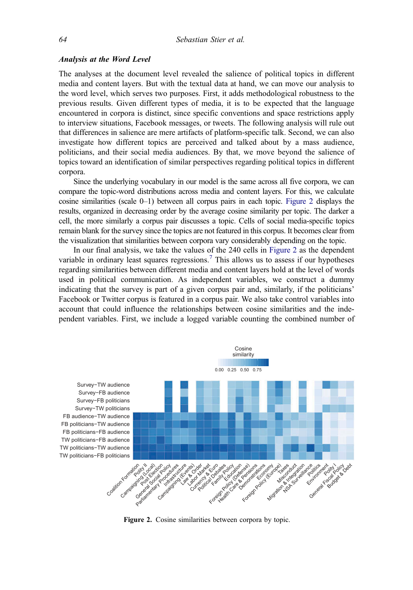#### <span id="page-15-0"></span>Analysis at the Word Level

The analyses at the document level revealed the salience of political topics in different media and content layers. But with the textual data at hand, we can move our analysis to the word level, which serves two purposes. First, it adds methodological robustness to the previous results. Given different types of media, it is to be expected that the language encountered in corpora is distinct, since specific conventions and space restrictions apply to interview situations, Facebook messages, or tweets. The following analysis will rule out that differences in salience are mere artifacts of platform-specific talk. Second, we can also investigate how different topics are perceived and talked about by a mass audience, politicians, and their social media audiences. By that, we move beyond the salience of topics toward an identification of similar perspectives regarding political topics in different corpora.

Since the underlying vocabulary in our model is the same across all five corpora, we can compare the topic-word distributions across media and content layers. For this, we calculate cosine similarities (scale 0–1) between all corpus pairs in each topic. Figure 2 displays the results, organized in decreasing order by the average cosine similarity per topic. The darker a cell, the more similarly a corpus pair discusses a topic. Cells of social media-specific topics remain blank for the survey since the topics are not featured in this corpus. It becomes clear from the visualization that similarities between corpora vary considerably depending on the topic.

In our final analysis, we take the values of the 240 cells in Figure 2 as the dependent variable in ordinary least squares regressions.<sup>[7](#page-19-0)</sup> This allows us to assess if our hypotheses regarding similarities between different media and content layers hold at the level of words used in political communication. As independent variables, we construct a dummy indicating that the survey is part of a given corpus pair and, similarly, if the politicians' Facebook or Twitter corpus is featured in a corpus pair. We also take control variables into account that could influence the relationships between cosine similarities and the independent variables. First, we include a logged variable counting the combined number of



Figure 2. Cosine similarities between corpora by topic.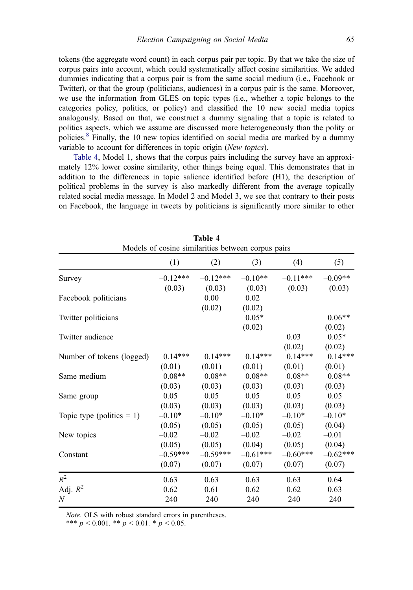<span id="page-16-0"></span>tokens (the aggregate word count) in each corpus pair per topic. By that we take the size of corpus pairs into account, which could systematically affect cosine similarities. We added dummies indicating that a corpus pair is from the same social medium (i.e., Facebook or Twitter), or that the group (politicians, audiences) in a corpus pair is the same. Moreover, we use the information from GLES on topic types (i.e., whether a topic belongs to the categories policy, politics, or policy) and classified the 10 new social media topics analogously. Based on that, we construct a dummy signaling that a topic is related to politics aspects, which we assume are discussed more heterogeneously than the polity or policies.[8](#page-19-0) Finally, the 10 new topics identified on social media are marked by a dummy variable to account for differences in topic origin (New topics).

Table 4, Model 1, shows that the corpus pairs including the survey have an approximately 12% lower cosine similarity, other things being equal. This demonstrates that in addition to the differences in topic salience identified before (H1), the description of political problems in the survey is also markedly different from the average topically related social media message. In Model 2 and Model 3, we see that contrary to their posts on Facebook, the language in tweets by politicians is significantly more similar to other

| Models of cosine similarities between corpus pairs |            |            |            |            |            |
|----------------------------------------------------|------------|------------|------------|------------|------------|
|                                                    | (1)        | (2)        | (3)        | (4)        | (5)        |
| Survey                                             | $-0.12***$ | $-0.12***$ | $-0.10**$  | $-0.11***$ | $-0.09**$  |
|                                                    | (0.03)     | (0.03)     | (0.03)     | (0.03)     | (0.03)     |
| Facebook politicians                               |            | 0.00       | 0.02       |            |            |
|                                                    |            | (0.02)     | (0.02)     |            |            |
| Twitter politicians                                |            |            | $0.05*$    |            | $0.06**$   |
|                                                    |            |            | (0.02)     |            | (0.02)     |
| Twitter audience                                   |            |            |            | 0.03       | $0.05*$    |
|                                                    |            |            |            | (0.02)     | (0.02)     |
| Number of tokens (logged)                          | $0.14***$  | $0.14***$  | $0.14***$  | $0.14***$  | $0.14***$  |
|                                                    | (0.01)     | (0.01)     | (0.01)     | (0.01)     | (0.01)     |
| Same medium                                        | $0.08**$   | $0.08**$   | $0.08**$   | $0.08**$   | $0.08**$   |
|                                                    | (0.03)     | (0.03)     | (0.03)     | (0.03)     | (0.03)     |
| Same group                                         | 0.05       | 0.05       | 0.05       | 0.05       | 0.05       |
|                                                    | (0.03)     | (0.03)     | (0.03)     | (0.03)     | (0.03)     |
| Topic type (politics $= 1$ )                       | $-0.10*$   | $-0.10*$   | $-0.10*$   | $-0.10*$   | $-0.10*$   |
|                                                    | (0.05)     | (0.05)     | (0.05)     | (0.05)     | (0.04)     |
| New topics                                         | $-0.02$    | $-0.02$    | $-0.02$    | $-0.02$    | $-0.01$    |
|                                                    | (0.05)     | (0.05)     | (0.04)     | (0.05)     | (0.04)     |
| Constant                                           | $-0.59***$ | $-0.59***$ | $-0.61***$ | $-0.60***$ | $-0.62***$ |
|                                                    | (0.07)     | (0.07)     | (0.07)     | (0.07)     | (0.07)     |
| $R^2$                                              | 0.63       | 0.63       | 0.63       | 0.63       | 0.64       |
| Adj. $R^2$                                         | 0.62       | 0.61       | 0.62       | 0.62       | 0.63       |
| $\boldsymbol{N}$                                   | 240        | 240        | 240        | 240        | 240        |

| Table 4 |  |                                                   |  |  |  |
|---------|--|---------------------------------------------------|--|--|--|
|         |  | Models of cosine similarities between corpus pair |  |  |  |

Note. OLS with robust standard errors in parentheses.

\*\*\*  $p < 0.001$ . \*\*  $p < 0.01$ . \*  $p < 0.05$ .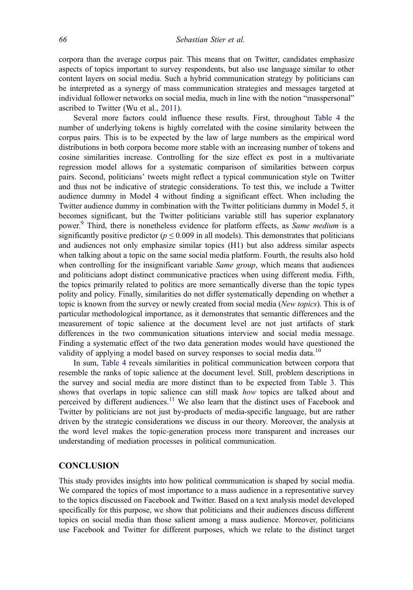corpora than the average corpus pair. This means that on Twitter, candidates emphasize aspects of topics important to survey respondents, but also use language similar to other content layers on social media. Such a hybrid communication strategy by politicians can be interpreted as a synergy of mass communication strategies and messages targeted at individual follower networks on social media, much in line with the notion "masspersonal" ascribed to Twitter (Wu et al., [2011](#page-22-0)).

Several more factors could influence these results. First, throughout [Table 4](#page-16-0) the number of underlying tokens is highly correlated with the cosine similarity between the corpus pairs. This is to be expected by the law of large numbers as the empirical word distributions in both corpora become more stable with an increasing number of tokens and cosine similarities increase. Controlling for the size effect ex post in a multivariate regression model allows for a systematic comparison of similarities between corpus pairs. Second, politicians' tweets might reflect a typical communication style on Twitter and thus not be indicative of strategic considerations. To test this, we include a Twitter audience dummy in Model 4 without finding a significant effect. When including the Twitter audience dummy in combination with the Twitter politicians dummy in Model 5, it becomes significant, but the Twitter politicians variable still has superior explanatory power.<sup>[9](#page-19-0)</sup> Third, there is nonetheless evidence for platform effects, as *Same medium* is a significantly positive predictor ( $p \le 0.009$  in all models). This demonstrates that politicians and audiences not only emphasize similar topics (H1) but also address similar aspects when talking about a topic on the same social media platform. Fourth, the results also hold when controlling for the insignificant variable *Same group*, which means that audiences and politicians adopt distinct communicative practices when using different media. Fifth, the topics primarily related to politics are more semantically diverse than the topic types polity and policy. Finally, similarities do not differ systematically depending on whether a topic is known from the survey or newly created from social media (New topics). This is of particular methodological importance, as it demonstrates that semantic differences and the measurement of topic salience at the document level are not just artifacts of stark differences in the two communication situations interview and social media message. Finding a systematic effect of the two data generation modes would have questioned the validity of applying a model based on survey responses to social media data.<sup>[10](#page-19-0)</sup>

In sum, [Table 4](#page-16-0) reveals similarities in political communication between corpora that resemble the ranks of topic salience at the document level. Still, problem descriptions in the survey and social media are more distinct than to be expected from [Table 3](#page-14-0). This shows that overlaps in topic salience can still mask how topics are talked about and perceived by different audiences.<sup>[11](#page-19-0)</sup> We also learn that the distinct uses of Facebook and Twitter by politicians are not just by-products of media-specific language, but are rather driven by the strategic considerations we discuss in our theory. Moreover, the analysis at the word level makes the topic-generation process more transparent and increases our understanding of mediation processes in political communication.

# **CONCLUSION**

This study provides insights into how political communication is shaped by social media. We compared the topics of most importance to a mass audience in a representative survey to the topics discussed on Facebook and Twitter. Based on a text analysis model developed specifically for this purpose, we show that politicians and their audiences discuss different topics on social media than those salient among a mass audience. Moreover, politicians use Facebook and Twitter for different purposes, which we relate to the distinct target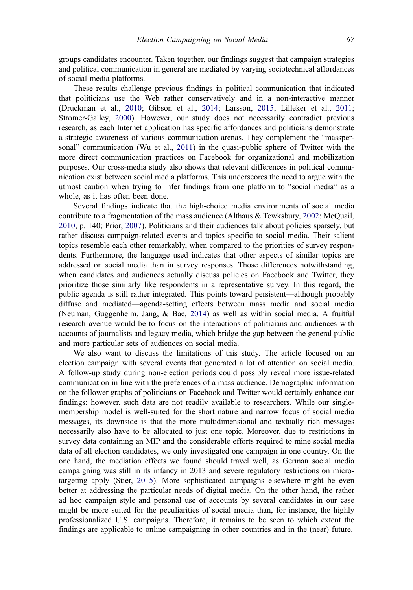groups candidates encounter. Taken together, our findings suggest that campaign strategies and political communication in general are mediated by varying sociotechnical affordances of social media platforms.

These results challenge previous findings in political communication that indicated that politicians use the Web rather conservatively and in a non-interactive manner (Druckman et al., [2010;](#page-20-0) Gibson et al., [2014](#page-20-0); Larsson, [2015](#page-21-0); Lilleker et al., [2011;](#page-21-0) Stromer-Galley, [2000](#page-22-0)). However, our study does not necessarily contradict previous research, as each Internet application has specific affordances and politicians demonstrate a strategic awareness of various communication arenas. They complement the "massper-sonal" communication (Wu et al., [2011](#page-22-0)) in the quasi-public sphere of Twitter with the more direct communication practices on Facebook for organizational and mobilization purposes. Our cross-media study also shows that relevant differences in political communication exist between social media platforms. This underscores the need to argue with the utmost caution when trying to infer findings from one platform to "social media" as a whole, as it has often been done.

Several findings indicate that the high-choice media environments of social media contribute to a fragmentation of the mass audience (Althaus & Tewksbury, [2002;](#page-20-0) McQuail, [2010,](#page-21-0) p. 140; Prior, [2007\)](#page-21-0). Politicians and their audiences talk about policies sparsely, but rather discuss campaign-related events and topics specific to social media. Their salient topics resemble each other remarkably, when compared to the priorities of survey respondents. Furthermore, the language used indicates that other aspects of similar topics are addressed on social media than in survey responses. Those differences notwithstanding, when candidates and audiences actually discuss policies on Facebook and Twitter, they prioritize those similarly like respondents in a representative survey. In this regard, the public agenda is still rather integrated. This points toward persistent—although probably diffuse and mediated—agenda-setting effects between mass media and social media (Neuman, Guggenheim, Jang, & Bae, [2014](#page-21-0)) as well as within social media. A fruitful research avenue would be to focus on the interactions of politicians and audiences with accounts of journalists and legacy media, which bridge the gap between the general public and more particular sets of audiences on social media.

We also want to discuss the limitations of this study. The article focused on an election campaign with several events that generated a lot of attention on social media. A follow-up study during non-election periods could possibly reveal more issue-related communication in line with the preferences of a mass audience. Demographic information on the follower graphs of politicians on Facebook and Twitter would certainly enhance our findings; however, such data are not readily available to researchers. While our singlemembership model is well-suited for the short nature and narrow focus of social media messages, its downside is that the more multidimensional and textually rich messages necessarily also have to be allocated to just one topic. Moreover, due to restrictions in survey data containing an MIP and the considerable efforts required to mine social media data of all election candidates, we only investigated one campaign in one country. On the one hand, the mediation effects we found should travel well, as German social media campaigning was still in its infancy in 2013 and severe regulatory restrictions on microtargeting apply (Stier, [2015](#page-22-0)). More sophisticated campaigns elsewhere might be even better at addressing the particular needs of digital media. On the other hand, the rather ad hoc campaign style and personal use of accounts by several candidates in our case might be more suited for the peculiarities of social media than, for instance, the highly professionalized U.S. campaigns. Therefore, it remains to be seen to which extent the findings are applicable to online campaigning in other countries and in the (near) future.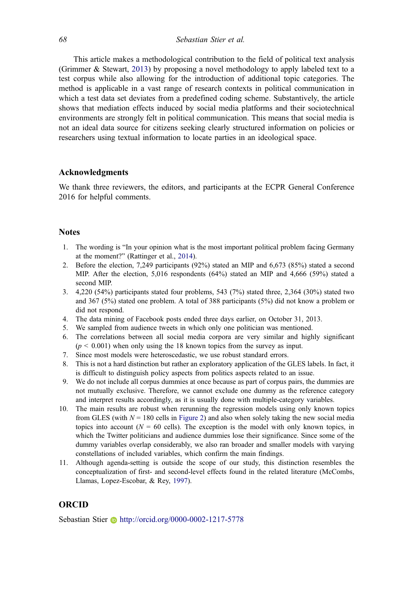<span id="page-19-0"></span>This article makes a methodological contribution to the field of political text analysis (Grimmer & Stewart, [2013\)](#page-20-0) by proposing a novel methodology to apply labeled text to a test corpus while also allowing for the introduction of additional topic categories. The method is applicable in a vast range of research contexts in political communication in which a test data set deviates from a predefined coding scheme. Substantively, the article shows that mediation effects induced by social media platforms and their sociotechnical environments are strongly felt in political communication. This means that social media is not an ideal data source for citizens seeking clearly structured information on policies or researchers using textual information to locate parties in an ideological space.

#### Acknowledgments

We thank three reviewers, the editors, and participants at the ECPR General Conference 2016 for helpful comments.

#### **Notes**

- 1. The wording is "In your opinion what is the most important political problem facing Germany at the moment?" (Rattinger et al., [2014](#page-21-0)).
- 2. Before the election, 7,249 participants (92%) stated an MIP and 6,673 (85%) stated a second MIP. After the election, 5,016 respondents (64%) stated an MIP and 4,666 (59%) stated a second MIP.
- 3. 4,220 (54%) participants stated four problems, 543 (7%) stated three, 2,364 (30%) stated two and 367 (5%) stated one problem. A total of 388 participants (5%) did not know a problem or did not respond.
- 4. The data mining of Facebook posts ended three days earlier, on October 31, 2013.
- 5. We sampled from audience tweets in which only one politician was mentioned.
- 6. The correlations between all social media corpora are very similar and highly significant  $(p < 0.001)$  when only using the 18 known topics from the survey as input.
- 7. Since most models were heteroscedastic, we use robust standard errors.
- 8. This is not a hard distinction but rather an exploratory application of the GLES labels. In fact, it is difficult to distinguish policy aspects from politics aspects related to an issue.
- 9. We do not include all corpus dummies at once because as part of corpus pairs, the dummies are not mutually exclusive. Therefore, we cannot exclude one dummy as the reference category and interpret results accordingly, as it is usually done with multiple-category variables.
- 10. The main results are robust when rerunning the regression models using only known topics from GLES (with  $N = 180$  cells in [Figure 2\)](#page-15-0) and also when solely taking the new social media topics into account ( $N = 60$  cells). The exception is the model with only known topics, in which the Twitter politicians and audience dummies lose their significance. Since some of the dummy variables overlap considerably, we also ran broader and smaller models with varying constellations of included variables, which confirm the main findings.
- 11. Although agenda-setting is outside the scope of our study, this distinction resembles the conceptualization of first- and second-level effects found in the related literature (McCombs, Llamas, Lopez-Escobar, & Rey, [1997](#page-21-0)).

# ORCID

Sebastian Stier • http://orcid.org/0000-0002-1217-5778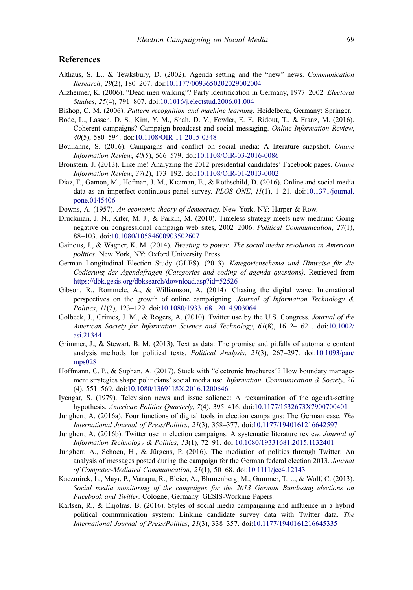#### <span id="page-20-0"></span>**References**

- Althaus, S. L., & Tewksbury, D. (2002). Agenda setting and the "new" news. Communication Research, 29(2), 180–207. doi:[10.1177/0093650202029002004](https://doi.org/10.1177/0093650202029002004)
- Arzheimer, K. (2006). "Dead men walking"? Party identification in Germany, 1977–2002. Electoral Studies, 25(4), 791–807. doi:[10.1016/j.electstud.2006.01.004](https://doi.org/10.1016/j.electstud.2006.01.004)
- Bishop, C. M. (2006). Pattern recognition and machine learning. Heidelberg, Germany: Springer.
- Bode, L., Lassen, D. S., Kim, Y. M., Shah, D. V., Fowler, E. F., Ridout, T., & Franz, M. (2016). Coherent campaigns? Campaign broadcast and social messaging. Online Information Review, 40(5), 580–594. doi:[10.1108/OIR-11-2015-0348](https://doi.org/10.1108/OIR-11-2015-0348)
- Boulianne, S. (2016). Campaigns and conflict on social media: A literature snapshot. Online Information Review, 40(5), 566–579. doi:[10.1108/OIR-03-2016-0086](https://doi.org/10.1108/OIR-03-2016-0086)
- Bronstein, J. (2013). Like me! Analyzing the 2012 presidential candidates' Facebook pages. Online Information Review, 37(2), 173–192. doi:[10.1108/OIR-01-2013-0002](https://doi.org/10.1108/OIR-01-2013-0002)
- Diaz, F., Gamon, M., Hofman, J. M., Kıcıman, E., & Rothschild, D. (2016). Online and social media data as an imperfect continuous panel survey. PLOS ONE,  $11(1)$ , 1-21. doi:[10.1371/journal.](https://doi.org/10.1371/journal.pone.0145406) [pone.0145406](https://doi.org/10.1371/journal.pone.0145406)
- Downs, A. (1957). An economic theory of democracy. New York, NY: Harper & Row.
- Druckman, J. N., Kifer, M. J., & Parkin, M. (2010). Timeless strategy meets new medium: Going negative on congressional campaign web sites, 2002–2006. Political Communication, 27(1), 88–103. doi:[10.1080/10584600903502607](https://doi.org/10.1080/10584600903502607)
- Gainous, J., & Wagner, K. M. (2014). Tweeting to power: The social media revolution in American politics. New York, NY: Oxford University Press.
- German Longitudinal Election Study (GLES). (2013). Kategorienschema und Hinweise für die Codierung der Agendafragen (Categories and coding of agenda questions). Retrieved from <https://dbk.gesis.org/dbksearch/download.asp?id=52526>
- Gibson, R., Römmele, A., & Williamson, A. (2014). Chasing the digital wave: International perspectives on the growth of online campaigning. Journal of Information Technology & Politics, 11(2), 123–129. doi:[10.1080/19331681.2014.903064](https://doi.org/10.1080/19331681.2014.903064)
- Golbeck, J., Grimes, J. M., & Rogers, A. (2010). Twitter use by the U.S. Congress. Journal of the American Society for Information Science and Technology, 61(8), 1612–1621. doi:[10.1002/](https://doi.org/10.1002/asi.21344) [asi.21344](https://doi.org/10.1002/asi.21344)
- Grimmer, J., & Stewart, B. M. (2013). Text as data: The promise and pitfalls of automatic content analysis methods for political texts. Political Analysis, 21(3), 267–297. doi:[10.1093/pan/](https://doi.org/10.1093/pan/mps028) [mps028](https://doi.org/10.1093/pan/mps028)
- Hoffmann, C. P., & Suphan, A. (2017). Stuck with "electronic brochures"? How boundary management strategies shape politicians' social media use. Information, Communication & Society, 20 (4), 551–569. doi:[10.1080/1369118X.2016.1200646](https://doi.org/10.1080/1369118X.2016.1200646)
- Iyengar, S. (1979). Television news and issue salience: A reexamination of the agenda-setting hypothesis. American Politics Quarterly, 7(4), 395–416. doi:[10.1177/1532673X7900700401](https://doi.org/10.1177/1532673X7900700401)
- Jungherr, A. (2016a). Four functions of digital tools in election campaigns: The German case. The International Journal of Press/Politics, 21(3), 358–377. doi:[10.1177/1940161216642597](https://doi.org/10.1177/1940161216642597)
- Jungherr, A. (2016b). Twitter use in election campaigns: A systematic literature review. Journal of Information Technology & Politics, 13(1), 72–91. doi:[10.1080/19331681.2015.1132401](https://doi.org/10.1080/19331681.2015.1132401)
- Jungherr, A., Schoen, H., & Jürgens, P. (2016). The mediation of politics through Twitter: An analysis of messages posted during the campaign for the German federal election 2013. Journal of Computer-Mediated Communication, 21(1), 50–68. doi:[10.1111/jcc4.12143](https://doi.org/10.1111/jcc4.12143)
- Kaczmirek, L., Mayr, P., Vatrapu, R., Bleier, A., Blumenberg, M., Gummer, T.…, & Wolf, C. (2013). Social media monitoring of the campaigns for the 2013 German Bundestag elections on Facebook and Twitter. Cologne, Germany. GESIS-Working Papers.
- Karlsen, R., & Enjolras, B. (2016). Styles of social media campaigning and influence in a hybrid political communication system: Linking candidate survey data with Twitter data. The International Journal of Press/Politics, 21(3), 338–357. doi:[10.1177/1940161216645335](https://doi.org/10.1177/1940161216645335)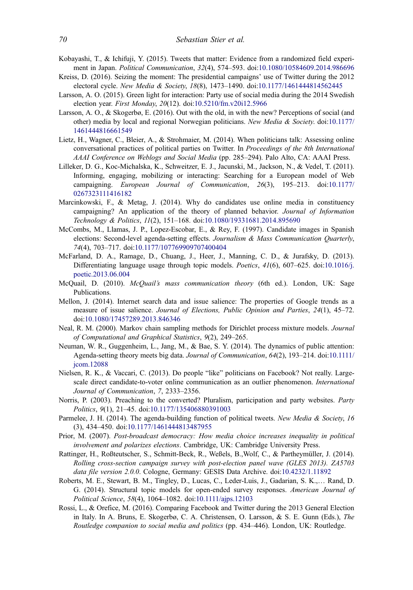- <span id="page-21-0"></span>Kobayashi, T., & Ichifuji, Y. (2015). Tweets that matter: Evidence from a randomized field experiment in Japan. Political Communication, 32(4), 574–593. doi:[10.1080/10584609.2014.986696](https://doi.org/10.1080/10584609.2014.986696)
- Kreiss, D. (2016). Seizing the moment: The presidential campaigns' use of Twitter during the 2012 electoral cycle. New Media & Society, 18(8), 1473–1490. doi:[10.1177/1461444814562445](https://doi.org/10.1177/1461444814562445)
- Larsson, A. O. (2015). Green light for interaction: Party use of social media during the 2014 Swedish election year. First Monday, 20(12). doi:[10.5210/fm.v20i12.5966](https://doi.org/10.5210/fm.v20i12.5966)
- Larsson, A. O., & Skogerbø, E. (2016). Out with the old, in with the new? Perceptions of social (and other) media by local and regional Norwegian politicians. New Media & Society. doi:[10.1177/](https://doi.org/10.1177/1461444816661549) [1461444816661549](https://doi.org/10.1177/1461444816661549)
- Lietz, H., Wagner, C., Bleier, A., & Strohmaier, M. (2014). When politicians talk: Assessing online conversational practices of political parties on Twitter. In Proceedings of the 8th International AAAI Conference on Weblogs and Social Media (pp. 285–294). Palo Alto, CA: AAAI Press.
- Lilleker, D. G., Koc-Michalska, K., Schweitzer, E. J., Jacunski, M., Jackson, N., & Vedel, T. (2011). Informing, engaging, mobilizing or interacting: Searching for a European model of Web campaigning. European Journal of Communication, 26(3), 195–213. doi:[10.1177/](https://doi.org/10.1177/0267323111416182) [0267323111416182](https://doi.org/10.1177/0267323111416182)
- Marcinkowski, F., & Metag, J. (2014). Why do candidates use online media in constituency campaigning? An application of the theory of planned behavior. Journal of Information Technology & Politics, 11(2), 151–168. doi:[10.1080/19331681.2014.895690](https://doi.org/10.1080/19331681.2014.895690)
- McCombs, M., Llamas, J. P., Lopez-Escobar, E., & Rey, F. (1997). Candidate images in Spanish elections: Second-level agenda-setting effects. Journalism & Mass Communication Quarterly, 74(4), 703–717. doi:[10.1177/107769909707400404](https://doi.org/10.1177/107769909707400404)
- McFarland, D. A., Ramage, D., Chuang, J., Heer, J., Manning, C. D., & Jurafsky, D. (2013). Differentiating language usage through topic models. *Poetics*, 41(6), 607–625. doi:[10.1016/j.](https://doi.org/10.1016/j.poetic.2013.06.004) [poetic.2013.06.004](https://doi.org/10.1016/j.poetic.2013.06.004)
- McQuail, D. (2010). McQuail's mass communication theory (6th ed.). London, UK: Sage Publications.
- Mellon, J. (2014). Internet search data and issue salience: The properties of Google trends as a measure of issue salience. Journal of Elections, Public Opinion and Parties, 24(1), 45–72. doi:[10.1080/17457289.2013.846346](https://doi.org/10.1080/17457289.2013.846346)
- Neal, R. M. (2000). Markov chain sampling methods for Dirichlet process mixture models. Journal of Computational and Graphical Statistics, 9(2), 249–265.
- Neuman, W. R., Guggenheim, L., Jang, M., & Bae, S. Y. (2014). The dynamics of public attention: Agenda-setting theory meets big data. Journal of Communication, 64(2), 193–214. doi:[10.1111/](https://doi.org/10.1111/jcom.12088) [jcom.12088](https://doi.org/10.1111/jcom.12088)
- Nielsen, R. K., & Vaccari, C. (2013). Do people "like" politicians on Facebook? Not really. Largescale direct candidate-to-voter online communication as an outlier phenomenon. International Journal of Communication, 7, 2333–2356.
- Norris, P. (2003). Preaching to the converted? Pluralism, participation and party websites. Party Politics, 9(1), 21–45. doi:[10.1177/135406880391003](https://doi.org/10.1177/135406880391003)
- Parmelee, J. H. (2014). The agenda-building function of political tweets. New Media & Society, 16 (3), 434–450. doi:[10.1177/1461444813487955](https://doi.org/10.1177/1461444813487955)
- Prior, M. (2007). Post-broadcast democracy: How media choice increases inequality in political involvement and polarizes elections. Cambridge, UK: Cambridge University Press.
- Rattinger, H., Roßteutscher, S., Schmitt-Beck, R., Weßels, B.,Wolf, C., & Partheymüller, J. (2014). Rolling cross-section campaign survey with post-election panel wave (GLES 2013). ZA5703 data file version 2.0.0. Cologne, Germany: GESIS Data Archive. doi:[10.4232/1.11892](https://doi.org/10.4232/1.11892)
- Roberts, M. E., Stewart, B. M., Tingley, D., Lucas, C., Leder-Luis, J., Gadarian, S. K.,… Rand, D. G. (2014). Structural topic models for open-ended survey responses. American Journal of Political Science, 58(4), 1064–1082. doi:[10.1111/ajps.12103](https://doi.org/10.1111/ajps.12103)
- Rossi, L., & Orefice, M. (2016). Comparing Facebook and Twitter during the 2013 General Election in Italy. In A. Bruns, E. Skogerbø, C. A. Christensen, O. Larsson, & S. E. Gunn (Eds.), The Routledge companion to social media and politics (pp. 434–446). London, UK: Routledge.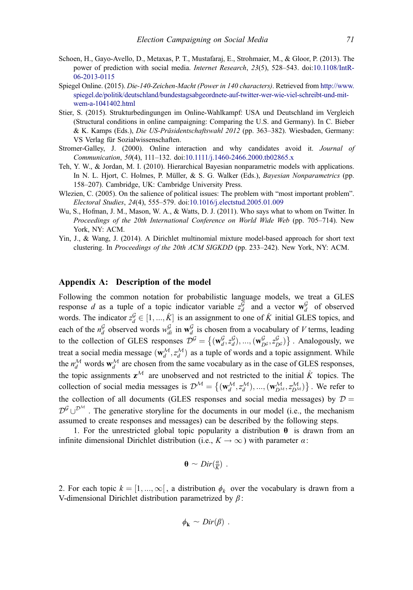- <span id="page-22-0"></span>Schoen, H., Gayo-Avello, D., Metaxas, P. T., Mustafaraj, E., Strohmaier, M., & Gloor, P. (2013). The power of prediction with social media. Internet Research, 23(5), 528–543. doi:[10.1108/IntR-](https://doi.org/10.1108/IntR-06-2013-0115)[06-2013-0115](https://doi.org/10.1108/IntR-06-2013-0115)
- Spiegel Online. (2015). Die-140-Zeichen-Macht (Power in 140 characters). Retrieved from [http://www.](http://www.spiegel.de/politik/deutschland/bundestagsabgeordnete-auf-twitter-wer-wie-viel-schreibt-und-mit-wem-a-1041402.html) [spiegel.de/politik/deutschland/bundestagsabgeordnete-auf-twitter-wer-wie-viel-schreibt-und-mit](http://www.spiegel.de/politik/deutschland/bundestagsabgeordnete-auf-twitter-wer-wie-viel-schreibt-und-mit-wem-a-1041402.html)[wem-a-1041402.html](http://www.spiegel.de/politik/deutschland/bundestagsabgeordnete-auf-twitter-wer-wie-viel-schreibt-und-mit-wem-a-1041402.html)
- Stier, S. (2015). Strukturbedingungen im Online-Wahlkampf: USA und Deutschland im Vergleich (Structural conditions in online campaigning: Comparing the U.S. and Germany). In C. Bieber & K. Kamps (Eds.), Die US-Präsidentschaftswahl 2012 (pp. 363–382). Wiesbaden, Germany: VS Verlag für Sozialwissenschaften.
- Stromer-Galley, J. (2000). Online interaction and why candidates avoid it. Journal of Communication, 50(4), 111–132. doi:[10.1111/j.1460-2466.2000.tb02865.x](https://doi.org/10.1111/j.1460-2466.2000.tb02865.x)
- Teh, Y. W., & Jordan, M. I. (2010). Hierarchical Bayesian nonparametric models with applications. In N. L. Hjort, C. Holmes, P. Müller, & S. G. Walker (Eds.), Bayesian Nonparametrics (pp. 158–207). Cambridge, UK: Cambridge University Press.
- Wlezien, C. (2005). On the salience of political issues: The problem with "most important problem". Electoral Studies, 24(4), 555–579. doi:[10.1016/j.electstud.2005.01.009](https://doi.org/10.1016/j.electstud.2005.01.009)
- Wu, S., Hofman, J. M., Mason, W. A., & Watts, D. J. (2011). Who says what to whom on Twitter. In Proceedings of the 20th International Conference on World Wide Web (pp. 705–714). New York, NY: ACM.
- Yin, J., & Wang, J. (2014). A Dirichlet multinomial mixture model-based approach for short text clustering. In Proceedings of the 20th ACM SIGKDD (pp. 233–242). New York, NY: ACM.

# Appendix A: Description of the model

Following the common notation for probabilistic language models, we treat a GLES response d as a tuple of a topic indicator variable  $z_d^{\mathcal{G}}$  and a vector  $\mathbf{w}_d^{\mathcal{G}}$  of observed words. The indicator  $z_d^{\mathcal{G}} \in [1, ..., \hat{K}]$  is an assignment to one of  $\hat{K}$  initial GLES topics, and each of the  $n_d^G$  observed words  $w_{di}^G$  in  $w_d^G$  is chosen from a vocabulary of V terms, leading to the collection of GLES responses  $\mathcal{D}^{\mathcal{G}} = \{(\mathbf{w}_d^{\mathcal{G}}, z_d^{\mathcal{G}}), ..., (\mathbf{w}_{D^{\mathcal{G}}}^{\mathcal{G}}, z_{D^{\mathcal{G}}}^{\mathcal{G}})\}\.$  Analogously, we treat a social media message  $(\mathbf{w}_d^{\mathcal{M}}, z_d^{\mathcal{M}})$  as a tuple of words and a topic assignment. While the  $n_d^{\mathcal{M}}$  words  $\mathbf{w}_d^{\mathcal{M}}$  are chosen from the same vocabulary as in the case of GLES responses, the topic assignments  $z^{\mathcal{M}}$  are unobserved and not restricted to the initial  $\hat{K}$  topics. The collection of social media messages is  $\mathcal{D}^M = \{(\mathbf{w}_d^M, z_d^M), ..., (\mathbf{w}_{D^M}^M, z_{D^M}^M)\}\.$  We refer to the collection of all documents (GLES responses and social media messages) by  $D =$  $\mathcal{D}^{\mathcal{G}}\cup^{\mathcal{D}^{\mathcal{M}}}$ . The generative storyline for the documents in our model (i.e., the mechanism assumed to create responses and messages) can be described by the following steps.

1. For the unrestricted global topic popularity a distribution  $\theta$  is drawn from an infinite dimensional Dirichlet distribution (i.e.,  $K \to \infty$ ) with parameter  $\alpha$ :

$$
\mathbf{\Theta} \sim Dir(\frac{a}{K}) \ .
$$

2. For each topic  $k = [1, ..., \infty]$ , a distribution  $\phi_k$  over the vocabulary is drawn from a V-dimensional Dirichlet distribution parametrized by  $\beta$ :

$$
\phi_{\mathbf{k}} \sim Dir(\beta) .
$$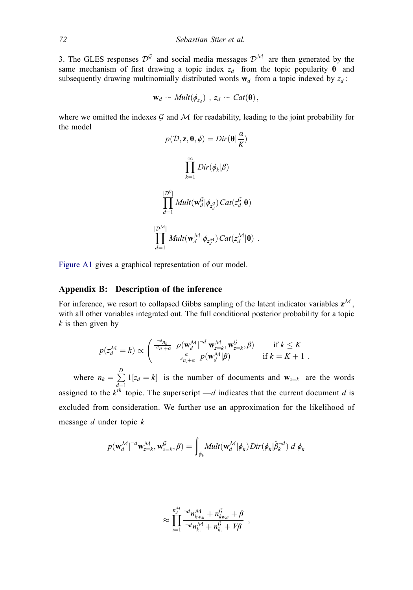<span id="page-23-0"></span>3. The GLES responses  $\mathcal{D}^{\mathcal{G}}$  and social media messages  $\mathcal{D}^{\mathcal{M}}$  are then generated by the same mechanism of first drawing a topic index  $z_d$  from the topic popularity  $\theta$  and subsequently drawing multinomially distributed words  $w_d$  from a topic indexed by  $z_d$ :

$$
\mathbf{w}_d \sim \text{Mult}(\phi_{z_d}) \, , \, z_d \sim \text{Cat}(\mathbf{\Theta}),
$$

where we omitted the indexes  $\mathcal G$  and  $\mathcal M$  for readability, leading to the joint probability for the model

$$
p(\mathcal{D}, \mathbf{z}, \mathbf{\theta}, \phi) = Dir(\mathbf{\theta} | \frac{\alpha}{K})
$$

$$
\prod_{k=1}^{\infty} Dir(\phi_k | \beta)
$$

$$
\prod_{d=1}^{|\mathcal{D}^G|} Mult(\mathbf{w}_d^G | \phi_{z_d^G}) Cat(z_d^G | \mathbf{\theta})
$$

$$
\prod_{d=1}^{|\mathcal{D}^M|} Mult(\mathbf{w}_d^{\mathcal{M}} | \phi_{z_d^{\mathcal{M}}}) Cat(z_d^{\mathcal{M}} | \mathbf{\theta}) .
$$

[Figure A1](#page-24-0) gives a graphical representation of our model.

#### Appendix B: Description of the inference

For inference, we resort to collapsed Gibbs sampling of the latent indicator variables  $z^{\mathcal{M}}$ , with all other variables integrated out. The full conditional posterior probability for a topic  $k$  is then given by

$$
p(z_d^{\mathcal{M}} = k) \propto \begin{pmatrix} \frac{-d_{n_k}}{-d_{n_k}} & p(\mathbf{w}_d^{\mathcal{M}})^{-d} \mathbf{w}_{z=k}^{\mathcal{M}}, \mathbf{w}_{z=k}^{\mathcal{G}}, \beta) & \text{if } k \leq K \\ \frac{a}{-d_{n_k}} & p(\mathbf{w}_d^{\mathcal{M}} | \beta) & \text{if } k = K+1 \end{pmatrix},
$$

where  $n_k = \sum_{k=1}^{n_k}$  $\sum_{d=1}^{n} 1[z_d = k]$  is the number of documents and  $\mathbf{w}_{z=k}$  are the words assigned to the  $k^{th}$  topic. The superscript —d indicates that the current document d is excluded from consideration. We further use an approximation for the likelihood of message  $d$  under topic  $k$ 

$$
p(\mathbf{w}_d^{\mathcal{M}} \vert^{-d} \mathbf{w}_{z=k}^{\mathcal{M}}, \mathbf{w}_{z=k}^{\mathcal{G}}, \beta) = \int_{\phi_k} \mathit{Mult}(\mathbf{w}_d^{\mathcal{M}} \vert \phi_k) \mathit{Dir}(\phi_k \vert \hat{\beta}_k^{-d}) \ d \ \phi_k
$$

$$
\approx \prod_{i=1}^{n_d^{\mathcal{M}}} \frac{-d n_{k w_{di}}^{\mathcal{M}} + n_{k w_{di}}^{\mathcal{G}} + \beta}{-d n_{k}^{\mathcal{M}} + n_{k}^{\mathcal{G}} + V\beta} ,
$$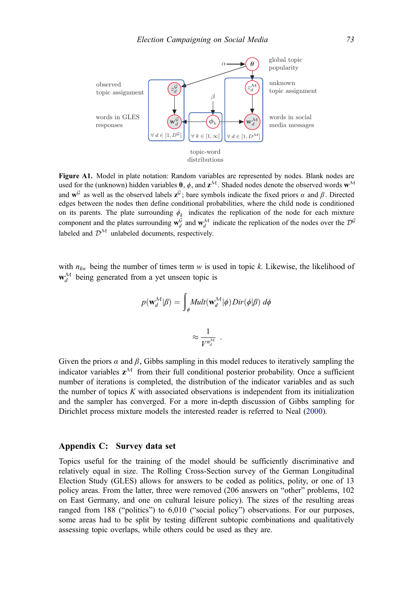<span id="page-24-0"></span>

Figure A1. Model in plate notation: Random variables are represented by nodes. Blank nodes are used for the (unknown) hidden variables  $\theta$ ,  $\phi$ , and  $z^M$ . Shaded nodes denote the observed words  $w^M$ and  $\mathbf{w}^{\mathcal{G}}$  as well as the observed labels  $\mathbf{z}^{\mathcal{G}}$ ; bare symbols indicate the fixed priors  $\alpha$  and  $\beta$ . Directed edges between the nodes then define conditional probabilities, where the child node is conditioned on its parents. The plate surrounding  $\phi_k$  indicates the replication of the node for each mixture component and the plates surrounding  $w_d^G$  and  $w_d^M$  indicate the replication of the nodes over the  $\mathcal{D}^G$ labeled and  $\mathcal{D}^{\mathcal{M}}$  unlabeled documents, respectively.

with  $n_{kw}$  being the number of times term w is used in topic k. Likewise, the likelihood of  $\mathbf{w}_d^{\mathcal{M}}$  being generated from a yet unseen topic is

$$
p(\mathbf{w}_d^{\mathcal{M}}|\beta) = \int_{\phi} Mult(\mathbf{w}_d^{\mathcal{M}}|\phi) Dir(\phi|\beta) d\phi
$$

$$
\approx \frac{1}{V^{n_d^{\mathcal{M}}}}.
$$

Given the priors  $\alpha$  and  $\beta$ , Gibbs sampling in this model reduces to iteratively sampling the indicator variables  $z^{\mathcal{M}}$  from their full conditional posterior probability. Once a sufficient number of iterations is completed, the distribution of the indicator variables and as such the number of topics  $K$  with associated observations is independent from its initialization and the sampler has converged. For a more in-depth discussion of Gibbs sampling for Dirichlet process mixture models the interested reader is referred to Neal ([2000\)](#page-21-0).

## Appendix C: Survey data set

Topics useful for the training of the model should be sufficiently discriminative and relatively equal in size. The Rolling Cross-Section survey of the German Longitudinal Election Study (GLES) allows for answers to be coded as politics, polity, or one of 13 policy areas. From the latter, three were removed (206 answers on "other" problems, 102 on East Germany, and one on cultural leisure policy). The sizes of the resulting areas ranged from 188 ("politics") to 6,010 ("social policy") observations. For our purposes, some areas had to be split by testing different subtopic combinations and qualitatively assessing topic overlaps, while others could be used as they are.